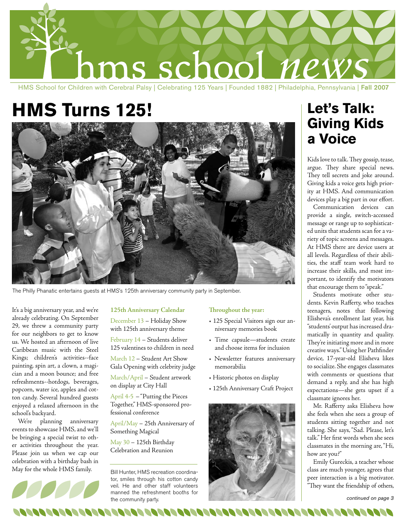

#### HMS School for Children with Cerebral Palsy | Celebrating 125 Years | Founded 1882 | Philadelphia, Pennsylvania | Fall 2007

# **HMS Turns 125!**



The Philly Phanatic entertains guests at HMS's 125th anniversary community party in September.

It's a big anniversary year, and we're already celebrating. On September 29, we threw a community party for our neighbors to get to know us. We hosted an afternoon of live Caribbean music with the Steel Kings; children's activities--face painting, spin art, a clown, a magician and a moon bounce; and free refreshments--hotdogs, beverages, popcorn, water ice, apples and cotton candy. Several hundred guests enjoyed a relaxed afternoon in the school's backyard.

We're planning anniversary events to showcase HMS, and we'll be bringing a special twist to other activities throughout the year. Please join us when we cap our celebration with a birthday bash in May for the whole HMS family.



#### **125th Anniversary Calendar**

December 13 – Holiday Show with 125th anniversary theme

February 14 – Students deliver 125 valentines to children in need

March 12 – Student Art Show Gala Opening with celebrity judge

March/April – Student artwork on display at City Hall

April 4-5 – "Putting the Pieces Together," HMS-sponsored professional conference

April/May – 25th Anniversary of Something Magical

May 30 – 125th Birthday Celebration and Reunion

Bill Hunter, HMS recreation coordinator, smiles through his cotton candy veil. He and other staff volunteers manned the refreshment booths for the community party.

#### **Throughout the year:**

- 125 Special Visitors sign our anniversary memories book
- Time capsule—students create and choose items for inclusion
- Newsletter features anniversary memorabilia
- Historic photos on display
- 125th Anniversary Craft Project



# **Let's Talk: Giving Kids a Voice**

Kids love to talk. They gossip, tease, argue. They share special news. They tell secrets and joke around. Giving kids a voice gets high priority at HMS. And communication devices play a big part in our effort.

Communication devices can provide a single, switch-accessed message or range up to sophisticated units that students scan for a variety of topic screens and messages. At HMS there are device users at all levels. Regardless of their abilities, the staff team work hard to increase their skills, and most important, to identify the motivators that encourage them to "speak."

Students motivate other students. Kevin Rafferty, who teaches teenagers, notes that following Elisheva's enrollment last year, his "students' output has increased dramatically in quantity and quality. They're initiating more and in more creative ways." Using her Pathfinder device, 17-year-old Elisheva likes to socialize. She engages classmates with comments or questions that demand a reply, and she has high expectations—she gets upset if a classmate ignores her.

Mr. Rafferty asks Elisheva how she feels when she sees a group of students sitting together and not talking. She says, "Sad. Please, let's talk." Her first words when she sees classmates in the morning are, "Hi, how are you?"

Emily Gureckis, a teacher whose class are much younger, agrees that peer interaction is a big motivator. "They want the friendship of others,

*continued on page 3*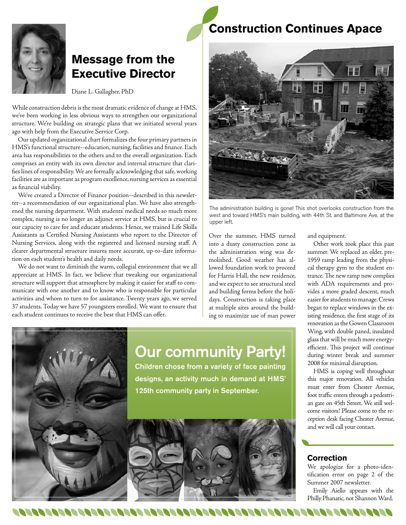

# **Message from the Executive Director**

Diane L. Gallagher, PhD

While construction debris is the most dramatic evidence of change at HMS, we've been working in less obvious ways to strengthen our organizational structure. We're building on strategic plans that we initiated several years ago with help from the Executive Service Corp.

Our updated organizational chart formalizes the four primary partners in HMS's functional structure--education, nursing, facilities and finance. Each area has responsibilities to the others and to the overall organization. Each comprises an entity with its own director and internal structure that clarifies lines of responsibility. We are formally acknowledging that safe, working facilities are as important as program excellence, nursing services as essential as financial viability.

We've created a Director of Finance position--described in this newsletter--a recommendation of our organizational plan. We have also strengthened the nursing department. With students' medical needs so much more complex, nursing is no longer an adjunct service at HMS, but is crucial to our capacity to care for and educate students. Hence, we trained Life Skills Assistants as Certified Nursing Assistants who report to the Director of Nursing Services, along with the registered and licensed nursing staff. A clearer departmental structure insures more accurate, up-to-date information on each student's health and daily needs.

We do not want to diminish the warm, collegial environment that we all appreciate at HMS. In fact, we believe that tweaking our organizational structure will support that atmosphere by making it easier for staff to communicate with one another and to know who is responsible for particular activities and whom to turn to for assistance. Twenty years ago, we served 37 students. Today we have 57 youngsters enrolled. We want to ensure that each student continues to receive the best that HMS can offer.

100000000000000000000

# **Construction Continues Apace**



The administration building is gone! This shot overlooks construction from the west and toward HMS's main building, with 44th St. and Baltimore Ave. at the upper left.

Over the summer, HMS turned into a dusty construction zone as the administration wing was demolished. Good weather has allowed foundation work to proceed for Harris Hall, the new residence, and we expect to see structural steel and building forms before the holidays. Construction is taking place at multiple sites around the building to maximize use of man power and equipment.

Other work took place this past summer. We replaced an older, pre-1959 ramp leading from the physical therapy gym to the student entrance. The new ramp now complies with ADA requirements and provides a more graded descent, much easier for students to manage. Crews began to replace windows in the existing residence, the first stage of its renovation as the Gowen Classroom Wing, with double paned, insulated glass that will be much more energyefficient. This project will continue during winter break and summer 2008 for minimal disruption.

HMS is coping well throughout this major renovation. All vehicles must enter from Chester Avenue, foot traffic enters through a pedestrian gate on 45th Street. We still welcome visitors! Please come to the reception desk facing Chester Avenue, and we will call your contact.

### **Correction**

1000000000000000000

We apologize for a photo-identification error on page 2 of the Summer 2007 newsletter.

Emily Aiello appears with the Philly Phanatic, not Shannon Ward.

# Our community Party!

Children chose from a variety of face painting designs, an activity much in demand at HMS' 125th community party in September.

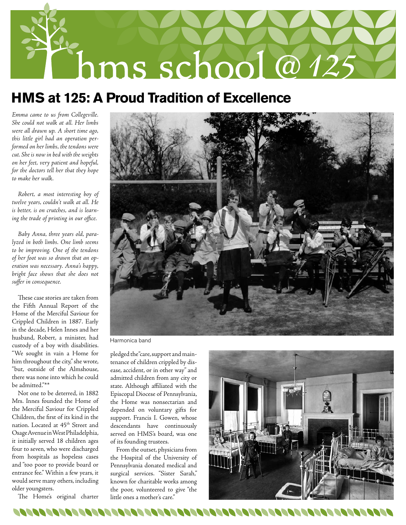

# **HMS at 125: A Proud Tradition of Excellence**

*Emma came to us from Collegeville. She could not walk at all. Her limbs were all drawn up. A short time ago, this little girl had an operation performed on her limbs, the tendons were cut. She is now in bed with the weights on her feet, very patient and hopeful, for the doctors tell her that they hope to make her walk.*

*Robert, a most interesting boy of twelve years, couldn't walk at all. He is better, is on crutches, and is learning the trade of printing in our office.*

*Baby Anna, three years old, paralyzed in both limbs. One limb seems to be improving. One of the tendons of her foot was so drawn that an operation was necessary. Anna's happy, bright face shows that she does not suffer in consequence.*

These case stories are taken from the Fifth Annual Report of the Home of the Merciful Saviour for Crippled Children in 1887. Early in the decade, Helen Innes and her husband, Robert, a minister, had custody of a boy with disabilities. "We sought in vain a Home for him throughout the city," she wrote, "but, outside of the Almshouse, there was none into which he could be admitted."\*\*

Not one to be deterred, in 1882 Mrs. Innes founded the Home of the Merciful Saviour for Crippled Children, the first of its kind in the nation. Located at 45<sup>th</sup> Street and Osage Avenue in West Philadelphia, it initially served 18 children ages four to seven, who were discharged from hospitals as hopeless cases and "too poor to provide board or entrance fee." Within a few years, it would serve many others, including older youngsters.

The Home's original charter



Harmonica band

pledged the "care, support and maintenance of children crippled by disease, accident, or in other way" and admitted children from any city or state. Although affiliated with the Episcopal Diocese of Pennsylvania, the Home was nonsectarian and depended on voluntary gifts for support. Francis I. Gowen, whose descendants have continuously served on HMS's board, was one of its founding trustees.

From the outset, physicians from the Hospital of the University of Pennsylvania donated medical and surgical services. "Sister Sarah," known for charitable works among the poor, volunteered to give "the little ones a mother's care."

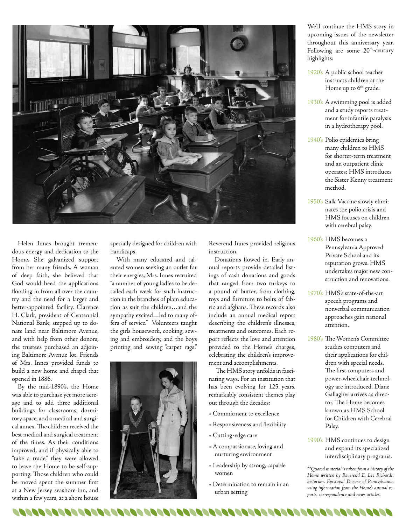

Helen Innes brought tremendous energy and dedication to the Home. She galvanized support from her many friends. A woman of deep faith, she believed that God would heed the applications flooding in from all over the country and the need for a larger and better-appointed facility. Clarence H. Clark, president of Centennial National Bank, stepped up to donate land near Baltimore Avenue, and with help from other donors, the trustees purchased an adjoining Baltimore Avenue lot. Friends of Mrs. Innes provided funds to build a new home and chapel that opened in 1886.

By the mid-1890's, the Home was able to purchase yet more acreage and to add three additional buildings for classrooms, dormitory space, and a medical and surgical annex. The children received the best medical and surgical treatment of the times. As their conditions improved, and if physically able to "take a trade," they were allowed to leave the Home to be self-supporting. Those children who could be moved spent the summer first at a New Jersey seashore inn, and within a few years, at a shore house

00000000000000

specially designed for children with handicaps.

With many educated and talented women seeking an outlet for their energies, Mrs. Innes recruited "a number of young ladies to be detailed each week for such instruction in the branches of plain education as suit the children…and the sympathy excited…led to many offers of service." Volunteers taught the girls housework, cooking, sewing and embroidery, and the boys printing and sewing "carpet rags."



Reverend Innes provided religious instruction.

Donations flowed in. Early annual reports provide detailed listings of cash donations and goods that ranged from two turkeys to a pound of butter, from clothing, toys and furniture to bolts of fabric and afghans. These records also include an annual medical report describing the children's illnesses, treatments and outcomes. Each report reflects the love and attention provided to the Home's charges, celebrating the children's improvement and accomplishments.

 The HMS story unfolds in fascinating ways. For an institution that has been evolving for 125 years, remarkably consistent themes play out through the decades:

- Commitment to excellence
- Responsiveness and flexibility
- Cutting-edge care
- A compassionate, loving and nurturing environment
- Leadership by strong, capable women
- Determination to remain in an urban setting

808080808080808080808080808

We'll continue the HMS story in upcoming issues of the newsletter throughout this anniversary year. Following are some  $20<sup>th</sup>$ -century highlights:

- 1920's A public school teacher instructs children at the Home up to  $6<sup>th</sup>$  grade.
- 1930's A swimming pool is added and a study reports treatment for infantile paralysis in a hydrotherapy pool.
- 1940's Polio epidemics bring many children to HMS for shorter-term treatment and an outpatient clinic operates; HMS introduces the Sister Kenny treatment method.
- 1950's Salk Vaccine slowly eliminates the polio crisis and HMS focuses on children with cerebral palsy.
- 1960's HMS becomes a Pennsylvania Approved Private School and its reputation grows. HMS undertakes major new construction and renovations.
- 1970's HMS's state-of-the-art speech programs and nonverbal communication approaches gain national attention.
- 1980's The Women's Committee studies computers and their applications for children with special needs. The first computers and power-wheelchair technology are introduced. Diane Gallagher arrives as director. The Home becomes known as HMS School for Children with Cerebral Palsy.
- 1990's HMS continues to design and expand its specialized interdisciplinary programs.

*\*\*Quoted material is taken from a history of the Home written by Reverend E. Lee Richards, historian, Episcopal Diocese of Pennsylvania, using information from the Home's annual reports, correspondence and news articles.*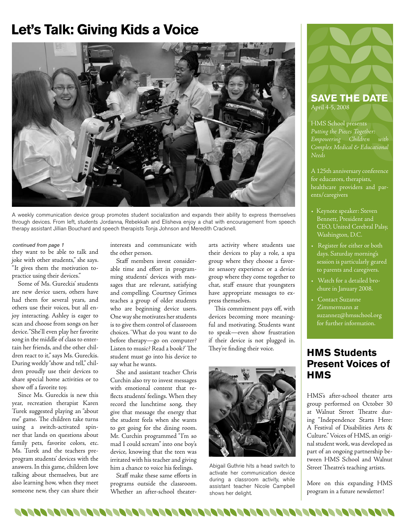# **Let's Talk: Giving Kids a Voice**



A weekly communication device group promotes student socialization and expands their ability to express themselves through devices. From left, students Jordanna, Rebekkah and Elisheva enjoy a chat with encouragement from speech therapy assistant Jillian Bouchard and speech therapists Tonja Johnson and Meredith Cracknell.

#### *continued from page 1*

they want to be able to talk and joke with other students," she says. "It gives them the motivation topractice using their devices."

Some of Ms. Gureckis' students are new device users, others have had them for several years, and others use their voices, but all enjoy interacting. Ashley is eager to scan and choose from songs on her device. "She'll even play her favorite song in the middle of class to entertain her friends, and the other children react to it," says Ms. Gureckis. During weekly "show and tell," children proudly use their devices to share special home activities or to show off a favorite toy.

Since Ms. Gureckis is new this year, recreation therapist Karen Turek suggested playing an "about me" game. The children take turns using a switch-activated spinner that lands on questions about family pets, favorite colors, etc. Ms. Turek and the teachers preprogram students' devices with the answers. In this game, children love talking about themselves, but are also learning how, when they meet someone new, they can share their

interests and communicate with the other person.

Staff members invest considerable time and effort in programming students' devices with messages that are relevant, satisfying and compelling. Courtney Grimes teaches a group of older students who are beginning device users. One way she motivates her students is to give them control of classroom choices. 'What do you want to do before therapy—go on computer? Listen to music? Read a book?' The student must go into his device to say what he wants.

She and assistant teacher Chris Curchin also try to invest messages with emotional content that reflects students' feelings. When they record the lunchtime song, they give that message the energy that the student feels when she wants to get going for the dining room. Mr. Curchin programmed "I'm so mad I could scream" into one boy's device, knowing that the teen was irritated with his teacher and giving him a chance to voice his feelings.

Staff make these same efforts in programs outside the classroom. Whether an after-school theaterarts activity where students use their devices to play a role, a spa group where they choose a favorite sensory experience or a device group where they come together to chat, staff ensure that youngsters have appropriate messages to express themselves.

This commitment pays off, with devices becoming more meaningful and motivating. Students want to speak—even show frustration if their device is not plugged in. They're finding their voice.



Abigail Guthrie hits a head switch to activate her communication device during a classroom activity, while assistant teacher Nicole Campbell shows her delight.



### **SAVE THE DATE** April 4-5, 2008

HMS School presents *Putting the Pieces Together: Empowering Children with Complex Medical & Educational Needs*

A 125th anniversary conference for educators, therapists, healthcare providers and parents/caregivers

- Keynote speaker: Steven Bennett, President and CEO, United Cerebral Palsy, Washington, D.C.
- Register for either or both days. Saturday morning's session is particularly geared to parents and caregivers.
- Watch for a detailed brochure in January 2008.
- Contact Suzanne Zimmermann at suzannez@hmsschool.org for further information.

## **HMS Students Present Voices of HMS**

HMS's after-school theater arts group performed on October 30 at Walnut Street Theatre during "Independence Starts Here: A Festival of Disabilities Arts & Culture." Voices of HMS, an original student work, was developed as part of an ongoing partnership between HMS School and Walnut Street Theatre's teaching artists.

More on this expanding HMS program in a future newsletter!